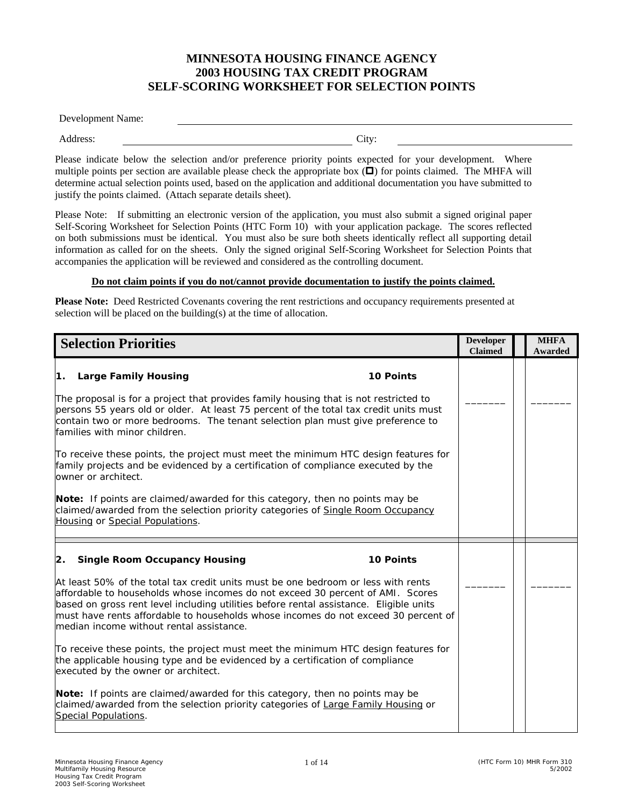## **MINNESOTA HOUSING FINANCE AGENCY 2003 HOUSING TAX CREDIT PROGRAM SELF-SCORING WORKSHEET FOR SELECTION POINTS**

Development Name:

Address: City:

Please indicate below the selection and/or preference priority points expected for your development. Where multiple points per section are available please check the appropriate box  $(\Box)$  for points claimed. The MHFA will determine actual selection points used, based on the application and additional documentation you have submitted to justify the points claimed. (Attach separate details sheet).

Please Note: If submitting an electronic version of the application, you must also submit a signed original paper Self-Scoring Worksheet for Selection Points (HTC Form 10) with your application package. The scores reflected on both submissions must be identical. You must also be sure both sheets identically reflect all supporting detail information as called for on the sheets. Only the signed original Self-Scoring Worksheet for Selection Points that accompanies the application will be reviewed and considered as the controlling document.

## **Do not claim points if you do not/cannot provide documentation to justify the points claimed.**

**Please Note:** Deed Restricted Covenants covering the rent restrictions and occupancy requirements presented at selection will be placed on the building(s) at the time of allocation.

| <b>Selection Priorities</b>                                                                                                                                                                                                                                                                                                                                                                     | <b>Developer</b><br><b>Claimed</b> | <b>MHFA</b><br>Awarded |
|-------------------------------------------------------------------------------------------------------------------------------------------------------------------------------------------------------------------------------------------------------------------------------------------------------------------------------------------------------------------------------------------------|------------------------------------|------------------------|
| 1. Large Family Housing<br><b>10 Points</b>                                                                                                                                                                                                                                                                                                                                                     |                                    |                        |
| The proposal is for a project that provides family housing that is not restricted to<br>persons 55 years old or older. At least 75 percent of the total tax credit units must<br>contain two or more bedrooms. The tenant selection plan must give preference to<br>families with minor children.                                                                                               |                                    |                        |
| To receive these points, the project must meet the minimum HTC design features for<br>family projects and be evidenced by a certification of compliance executed by the<br>owner or architect.                                                                                                                                                                                                  |                                    |                        |
| Note: If points are claimed/awarded for this category, then no points may be<br>claimed/awarded from the selection priority categories of Single Room Occupancy<br>Housing or Special Populations.                                                                                                                                                                                              |                                    |                        |
| <b>Single Room Occupancy Housing</b><br><b>10 Points</b><br>2.                                                                                                                                                                                                                                                                                                                                  |                                    |                        |
| At least 50% of the total tax credit units must be one bedroom or less with rents<br>affordable to households whose incomes do not exceed 30 percent of AMI. Scores<br>based on gross rent level including utilities before rental assistance. Eligible units<br>must have rents affordable to households whose incomes do not exceed 30 percent of<br>median income without rental assistance. |                                    |                        |
| To receive these points, the project must meet the minimum HTC design features for<br>the applicable housing type and be evidenced by a certification of compliance<br>executed by the owner or architect.                                                                                                                                                                                      |                                    |                        |
| Note: If points are claimed/awarded for this category, then no points may be<br>claimed/awarded from the selection priority categories of Large Family Housing or<br>Special Populations.                                                                                                                                                                                                       |                                    |                        |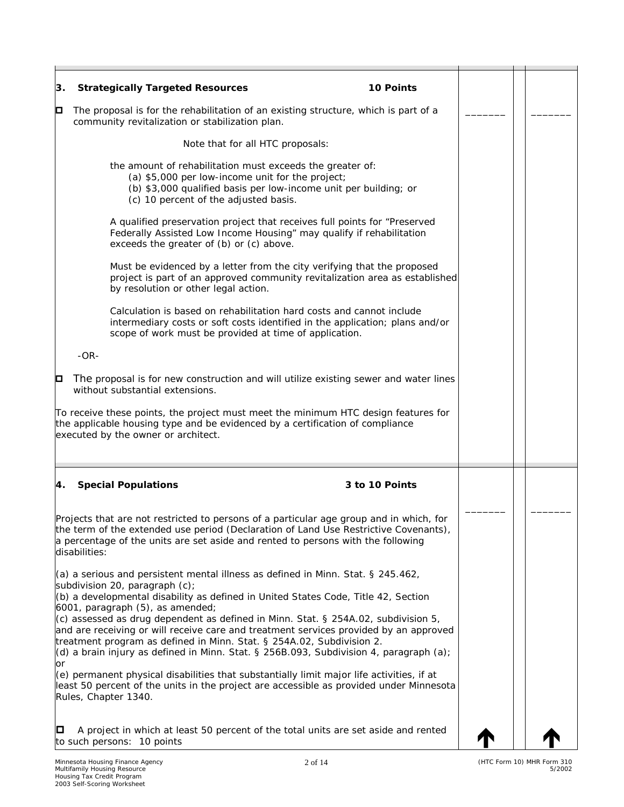| 3. | <b>Strategically Targeted Resources</b><br><b>10 Points</b>                                                                                                                                                                                                                                                                                      |  |  |
|----|--------------------------------------------------------------------------------------------------------------------------------------------------------------------------------------------------------------------------------------------------------------------------------------------------------------------------------------------------|--|--|
| О  | The proposal is for the rehabilitation of an existing structure, which is part of a<br>community revitalization or stabilization plan.                                                                                                                                                                                                           |  |  |
|    | Note that for all HTC proposals:                                                                                                                                                                                                                                                                                                                 |  |  |
|    | the amount of rehabilitation must exceeds the greater of:<br>(a) \$5,000 per low-income unit for the project;<br>(b) \$3,000 qualified basis per low-income unit per building; or<br>(c) 10 percent of the adjusted basis.                                                                                                                       |  |  |
|    | A qualified preservation project that receives full points for "Preserved<br>Federally Assisted Low Income Housing" may qualify if rehabilitation<br>exceeds the greater of (b) or (c) above.                                                                                                                                                    |  |  |
|    | Must be evidenced by a letter from the city verifying that the proposed<br>project is part of an approved community revitalization area as established<br>by resolution or other legal action.                                                                                                                                                   |  |  |
|    | Calculation is based on rehabilitation hard costs and cannot include<br>intermediary costs or soft costs identified in the application; plans and/or<br>scope of work must be provided at time of application.                                                                                                                                   |  |  |
|    | $-OR-$                                                                                                                                                                                                                                                                                                                                           |  |  |
| o  | The proposal is for new construction and will utilize existing sewer and water lines<br>without substantial extensions.                                                                                                                                                                                                                          |  |  |
|    | To receive these points, the project must meet the minimum HTC design features for<br>the applicable housing type and be evidenced by a certification of compliance<br>executed by the owner or architect.                                                                                                                                       |  |  |
| 4. | <b>Special Populations</b><br>3 to 10 Points                                                                                                                                                                                                                                                                                                     |  |  |
|    | Projects that are not restricted to persons of a particular age group and in which, for<br>the term of the extended use period (Declaration of Land Use Restrictive Covenants),<br>a percentage of the units are set aside and rented to persons with the following<br>disabilities:                                                             |  |  |
|    | $(a)$ a serious and persistent mental illness as defined in Minn. Stat. § 245.462,<br>subdivision 20, paragraph (c);<br>(b) a developmental disability as defined in United States Code, Title 42, Section<br>$6001$ , paragraph $(5)$ , as amended;                                                                                             |  |  |
|    | (c) assessed as drug dependent as defined in Minn. Stat. § 254A.02, subdivision 5,<br>and are receiving or will receive care and treatment services provided by an approved<br>treatment program as defined in Minn. Stat. § 254A.02, Subdivision 2.<br>$(d)$ a brain injury as defined in Minn. Stat. § 256B.093, Subdivision 4, paragraph (a); |  |  |
| or | (e) permanent physical disabilities that substantially limit major life activities, if at<br>least 50 percent of the units in the project are accessible as provided under Minnesota<br>Rules, Chapter 1340.                                                                                                                                     |  |  |
| О  | A project in which at least 50 percent of the total units are set aside and rented<br>to such persons: 10 points                                                                                                                                                                                                                                 |  |  |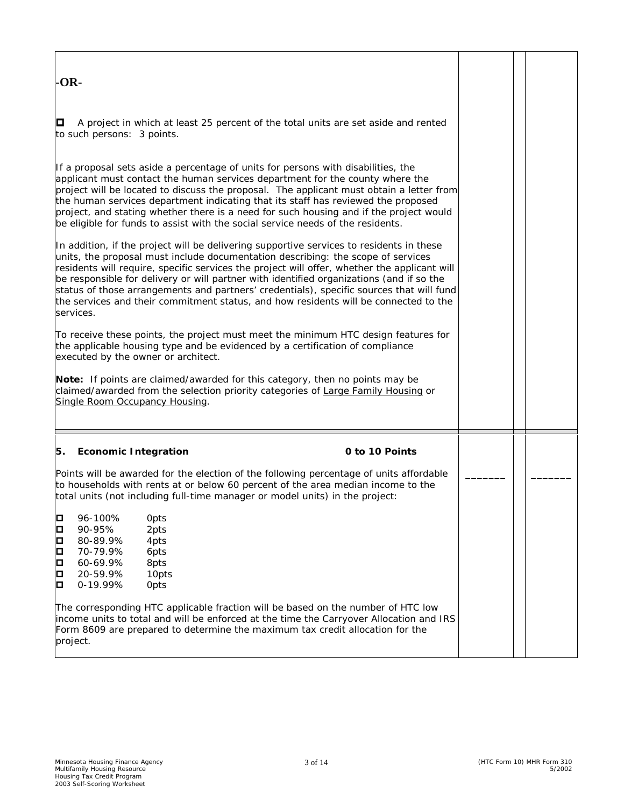| -OR-                                                                                                                                                                                                                                                                                                                                                                                                                                                                                                                                                                      |  |  |
|---------------------------------------------------------------------------------------------------------------------------------------------------------------------------------------------------------------------------------------------------------------------------------------------------------------------------------------------------------------------------------------------------------------------------------------------------------------------------------------------------------------------------------------------------------------------------|--|--|
| О<br>A project in which at least 25 percent of the total units are set aside and rented<br>to such persons: 3 points.                                                                                                                                                                                                                                                                                                                                                                                                                                                     |  |  |
| If a proposal sets aside a percentage of units for persons with disabilities, the<br>applicant must contact the human services department for the county where the<br>project will be located to discuss the proposal. The applicant must obtain a letter from<br>the human services department indicating that its staff has reviewed the proposed<br>project, and stating whether there is a need for such housing and if the project would<br>be eligible for funds to assist with the social service needs of the residents.                                          |  |  |
| In addition, if the project will be delivering supportive services to residents in these<br>units, the proposal must include documentation describing: the scope of services<br>residents will require, specific services the project will offer, whether the applicant will<br>be responsible for delivery or will partner with identified organizations (and if so the<br>status of those arrangements and partners' credentials), specific sources that will fund<br>the services and their commitment status, and how residents will be connected to the<br>services. |  |  |
| To receive these points, the project must meet the minimum HTC design features for<br>the applicable housing type and be evidenced by a certification of compliance<br>executed by the owner or architect.                                                                                                                                                                                                                                                                                                                                                                |  |  |
| Note: If points are claimed/awarded for this category, then no points may be<br>claimed/awarded from the selection priority categories of Large Family Housing or<br>Single Room Occupancy Housing.                                                                                                                                                                                                                                                                                                                                                                       |  |  |
| <b>Economic Integration</b><br>0 to 10 Points<br>5.                                                                                                                                                                                                                                                                                                                                                                                                                                                                                                                       |  |  |
| Points will be awarded for the election of the following percentage of units affordable<br>to households with rents at or below 60 percent of the area median income to the<br>total units (not including full-time manager or model units) in the project:                                                                                                                                                                                                                                                                                                               |  |  |
| Þ<br>96-100%<br>Opts<br>o<br>90-95%<br>2pts<br>Þ<br>80-89.9%<br>4pts<br>o<br>D<br>70-79.9%<br>6pts<br>60-69.9%<br>8pts<br>þ<br>20-59.9%<br>10pts<br>о<br>0-19.99%<br>Opts                                                                                                                                                                                                                                                                                                                                                                                                 |  |  |
| The corresponding HTC applicable fraction will be based on the number of HTC low<br>income units to total and will be enforced at the time the Carryover Allocation and IRS<br>Form 8609 are prepared to determine the maximum tax credit allocation for the<br>project.                                                                                                                                                                                                                                                                                                  |  |  |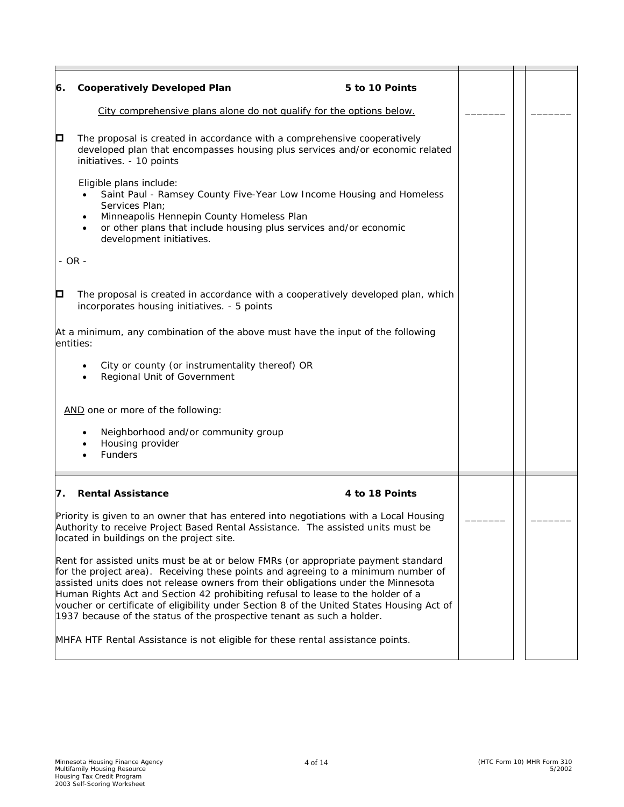| 6.         | <b>Cooperatively Developed Plan</b><br>5 to 10 Points                                                                                                                                                                                                                                                                                                                                                                                                                                                                                                                                                   |  |  |
|------------|---------------------------------------------------------------------------------------------------------------------------------------------------------------------------------------------------------------------------------------------------------------------------------------------------------------------------------------------------------------------------------------------------------------------------------------------------------------------------------------------------------------------------------------------------------------------------------------------------------|--|--|
|            | City comprehensive plans alone do not qualify for the options below.                                                                                                                                                                                                                                                                                                                                                                                                                                                                                                                                    |  |  |
| о          | The proposal is created in accordance with a comprehensive cooperatively<br>developed plan that encompasses housing plus services and/or economic related<br>initiatives. - 10 points                                                                                                                                                                                                                                                                                                                                                                                                                   |  |  |
|            | Eligible plans include:<br>Saint Paul - Ramsey County Five-Year Low Income Housing and Homeless<br>Services Plan;<br>Minneapolis Hennepin County Homeless Plan<br>or other plans that include housing plus services and/or economic<br>development initiatives.                                                                                                                                                                                                                                                                                                                                         |  |  |
| $-$ OR $-$ |                                                                                                                                                                                                                                                                                                                                                                                                                                                                                                                                                                                                         |  |  |
| O          | The proposal is created in accordance with a cooperatively developed plan, which<br>incorporates housing initiatives. - 5 points                                                                                                                                                                                                                                                                                                                                                                                                                                                                        |  |  |
|            | At a minimum, any combination of the above must have the input of the following<br>entities:                                                                                                                                                                                                                                                                                                                                                                                                                                                                                                            |  |  |
|            | City or county (or instrumentality thereof) OR<br>٠<br>Regional Unit of Government                                                                                                                                                                                                                                                                                                                                                                                                                                                                                                                      |  |  |
|            | AND one or more of the following:                                                                                                                                                                                                                                                                                                                                                                                                                                                                                                                                                                       |  |  |
|            | Neighborhood and/or community group<br>Housing provider<br>Funders                                                                                                                                                                                                                                                                                                                                                                                                                                                                                                                                      |  |  |
| 7.         | <b>Rental Assistance</b><br>4 to 18 Points                                                                                                                                                                                                                                                                                                                                                                                                                                                                                                                                                              |  |  |
|            | Priority is given to an owner that has entered into negotiations with a Local Housing<br>Authority to receive Project Based Rental Assistance. The assisted units must be<br>located in buildings on the project site.                                                                                                                                                                                                                                                                                                                                                                                  |  |  |
|            | Rent for assisted units must be at or below FMRs (or appropriate payment standard<br>for the project area). Receiving these points and agreeing to a minimum number of<br>assisted units does not release owners from their obligations under the Minnesota<br>Human Rights Act and Section 42 prohibiting refusal to lease to the holder of a<br>voucher or certificate of eligibility under Section 8 of the United States Housing Act of<br>1937 because of the status of the prospective tenant as such a holder.<br>MHFA HTF Rental Assistance is not eligible for these rental assistance points. |  |  |
|            |                                                                                                                                                                                                                                                                                                                                                                                                                                                                                                                                                                                                         |  |  |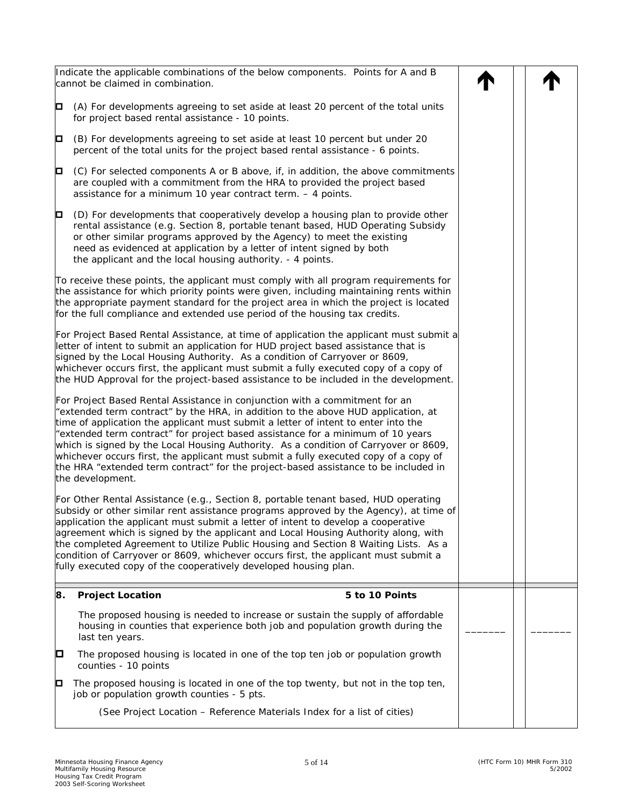|    | Indicate the applicable combinations of the below components. Points for A and B<br>cannot be claimed in combination.                                                                                                                                                                                                                                                                                                                                                                                                                                                                                                                |  |  |
|----|--------------------------------------------------------------------------------------------------------------------------------------------------------------------------------------------------------------------------------------------------------------------------------------------------------------------------------------------------------------------------------------------------------------------------------------------------------------------------------------------------------------------------------------------------------------------------------------------------------------------------------------|--|--|
| О  | (A) For developments agreeing to set aside at least 20 percent of the total units<br>for project based rental assistance - 10 points.                                                                                                                                                                                                                                                                                                                                                                                                                                                                                                |  |  |
| o  | (B) For developments agreeing to set aside at least 10 percent but under 20<br>percent of the total units for the project based rental assistance - 6 points.                                                                                                                                                                                                                                                                                                                                                                                                                                                                        |  |  |
| o  | (C) For selected components A or B above, if, in addition, the above commitments<br>are coupled with a commitment from the HRA to provided the project based<br>assistance for a minimum 10 year contract term. - 4 points.                                                                                                                                                                                                                                                                                                                                                                                                          |  |  |
| o  | (D) For developments that cooperatively develop a housing plan to provide other<br>rental assistance (e.g. Section 8, portable tenant based, HUD Operating Subsidy<br>or other similar programs approved by the Agency) to meet the existing<br>need as evidenced at application by a letter of intent signed by both<br>the applicant and the local housing authority. - 4 points.                                                                                                                                                                                                                                                  |  |  |
|    | To receive these points, the applicant must comply with all program requirements for<br>the assistance for which priority points were given, including maintaining rents within<br>the appropriate payment standard for the project area in which the project is located<br>for the full compliance and extended use period of the housing tax credits.                                                                                                                                                                                                                                                                              |  |  |
|    | For Project Based Rental Assistance, at time of application the applicant must submit a<br>letter of intent to submit an application for HUD project based assistance that is<br>signed by the Local Housing Authority. As a condition of Carryover or 8609,<br>whichever occurs first, the applicant must submit a fully executed copy of a copy of<br>the HUD Approval for the project-based assistance to be included in the development.                                                                                                                                                                                         |  |  |
|    | For Project Based Rental Assistance in conjunction with a commitment for an<br>"extended term contract" by the HRA, in addition to the above HUD application, at<br>time of application the applicant must submit a letter of intent to enter into the<br>"extended term contract" for project based assistance for a minimum of 10 years<br>which is signed by the Local Housing Authority. As a condition of Carryover or 8609,<br>whichever occurs first, the applicant must submit a fully executed copy of a copy of<br>the HRA "extended term contract" for the project-based assistance to be included in<br>the development. |  |  |
|    | For Other Rental Assistance (e.g., Section 8, portable tenant based, HUD operating<br>subsidy or other similar rent assistance programs approved by the Agency), at time of<br>application the applicant must submit a letter of intent to develop a cooperative<br>agreement which is signed by the applicant and Local Housing Authority along, with<br>the completed Agreement to Utilize Public Housing and Section 8 Waiting Lists. As a<br>condition of Carryover or 8609, whichever occurs first, the applicant must submit a<br>fully executed copy of the cooperatively developed housing plan.                             |  |  |
| 8. | <b>Project Location</b><br>5 to 10 Points                                                                                                                                                                                                                                                                                                                                                                                                                                                                                                                                                                                            |  |  |
|    | The proposed housing is needed to increase or sustain the supply of affordable<br>housing in counties that experience both job and population growth during the<br>last ten years.                                                                                                                                                                                                                                                                                                                                                                                                                                                   |  |  |
| O  | The proposed housing is located in one of the top ten job or population growth<br>counties - 10 points                                                                                                                                                                                                                                                                                                                                                                                                                                                                                                                               |  |  |
| О  | The proposed housing is located in one of the top twenty, but not in the top ten,<br>job or population growth counties - 5 pts.                                                                                                                                                                                                                                                                                                                                                                                                                                                                                                      |  |  |
|    | (See Project Location - Reference Materials Index for a list of cities)                                                                                                                                                                                                                                                                                                                                                                                                                                                                                                                                                              |  |  |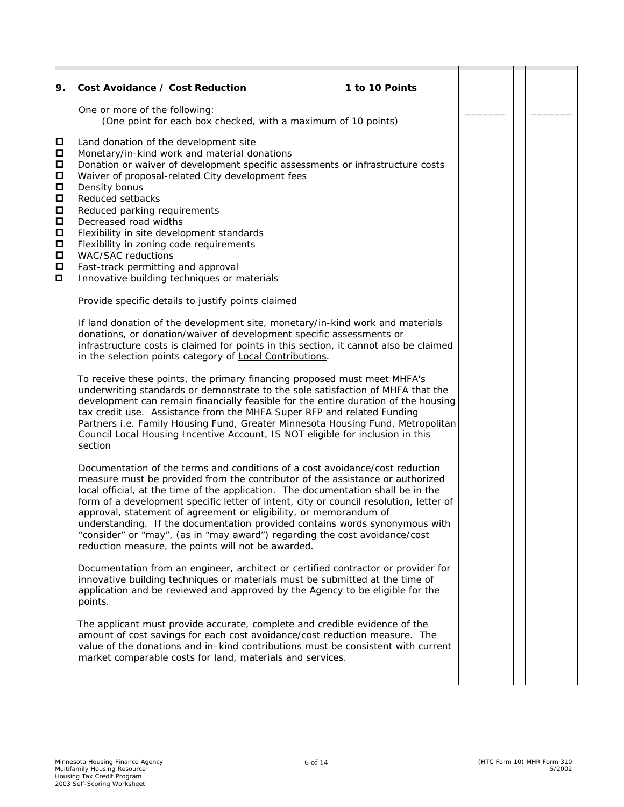| 9.                                                                           | Cost Avoidance / Cost Reduction<br>1 to 10 Points                                                                                                                                                                                                                                                                                                                                                                                                                                                                                                                                                                                    |  |  |
|------------------------------------------------------------------------------|--------------------------------------------------------------------------------------------------------------------------------------------------------------------------------------------------------------------------------------------------------------------------------------------------------------------------------------------------------------------------------------------------------------------------------------------------------------------------------------------------------------------------------------------------------------------------------------------------------------------------------------|--|--|
|                                                                              | One or more of the following:<br>(One point for each box checked, with a maximum of 10 points)                                                                                                                                                                                                                                                                                                                                                                                                                                                                                                                                       |  |  |
| О<br>О<br>□<br>$\Box$<br>$\Box$<br>$\Box$<br>О<br>О<br>О<br>□<br>□<br>О<br>О | Land donation of the development site<br>Monetary/in-kind work and material donations<br>Donation or waiver of development specific assessments or infrastructure costs<br>Waiver of proposal-related City development fees<br>Density bonus<br>Reduced setbacks<br>Reduced parking requirements<br>Decreased road widths<br>Flexibility in site development standards<br>Flexibility in zoning code requirements<br><b>WAC/SAC reductions</b><br>Fast-track permitting and approval<br>Innovative building techniques or materials                                                                                                  |  |  |
|                                                                              | Provide specific details to justify points claimed                                                                                                                                                                                                                                                                                                                                                                                                                                                                                                                                                                                   |  |  |
|                                                                              | If land donation of the development site, monetary/in-kind work and materials<br>donations, or donation/waiver of development specific assessments or<br>infrastructure costs is claimed for points in this section, it cannot also be claimed<br>in the selection points category of Local Contributions.                                                                                                                                                                                                                                                                                                                           |  |  |
|                                                                              | To receive these points, the primary financing proposed must meet MHFA's<br>underwriting standards or demonstrate to the sole satisfaction of MHFA that the<br>development can remain financially feasible for the entire duration of the housing<br>tax credit use. Assistance from the MHFA Super RFP and related Funding<br>Partners i.e. Family Housing Fund, Greater Minnesota Housing Fund, Metropolitan<br>Council Local Housing Incentive Account, IS NOT eligible for inclusion in this<br>section                                                                                                                          |  |  |
|                                                                              | Documentation of the terms and conditions of a cost avoidance/cost reduction<br>measure must be provided from the contributor of the assistance or authorized<br>local official, at the time of the application. The documentation shall be in the<br>form of a development specific letter of intent, city or council resolution, letter of<br>approval, statement of agreement or eligibility, or memorandum of<br>understanding. If the documentation provided contains words synonymous with<br>"consider" or "may", (as in "may award") regarding the cost avoidance/cost<br>reduction measure, the points will not be awarded. |  |  |
|                                                                              | Documentation from an engineer, architect or certified contractor or provider for<br>innovative building techniques or materials must be submitted at the time of<br>application and be reviewed and approved by the Agency to be eligible for the<br>points.                                                                                                                                                                                                                                                                                                                                                                        |  |  |
|                                                                              | The applicant must provide accurate, complete and credible evidence of the<br>amount of cost savings for each cost avoidance/cost reduction measure. The<br>value of the donations and in-kind contributions must be consistent with current<br>market comparable costs for land, materials and services.                                                                                                                                                                                                                                                                                                                            |  |  |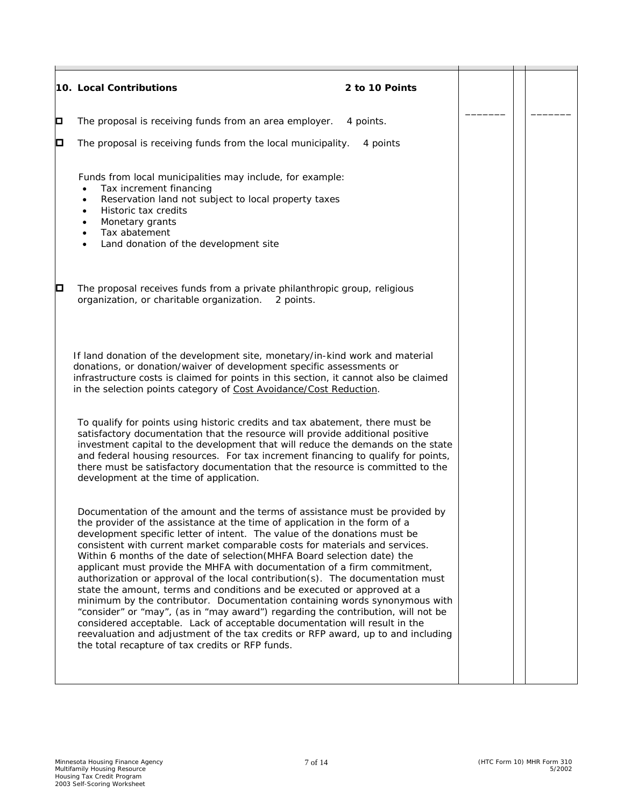|   | 10. Local Contributions<br>2 to 10 Points                                                                                                                                                                                                                                                                                                                                                                                                                                                                                                                                                                                                                                                                                                                                                                                                                                                                                                                                                                                          |  |  |
|---|------------------------------------------------------------------------------------------------------------------------------------------------------------------------------------------------------------------------------------------------------------------------------------------------------------------------------------------------------------------------------------------------------------------------------------------------------------------------------------------------------------------------------------------------------------------------------------------------------------------------------------------------------------------------------------------------------------------------------------------------------------------------------------------------------------------------------------------------------------------------------------------------------------------------------------------------------------------------------------------------------------------------------------|--|--|
| о | The proposal is receiving funds from an area employer.<br>4 points.                                                                                                                                                                                                                                                                                                                                                                                                                                                                                                                                                                                                                                                                                                                                                                                                                                                                                                                                                                |  |  |
| О | The proposal is receiving funds from the local municipality.<br>4 points                                                                                                                                                                                                                                                                                                                                                                                                                                                                                                                                                                                                                                                                                                                                                                                                                                                                                                                                                           |  |  |
|   | Funds from local municipalities may include, for example:<br>Tax increment financing<br>Reservation land not subject to local property taxes<br>Historic tax credits<br>Monetary grants<br>Tax abatement<br>Land donation of the development site                                                                                                                                                                                                                                                                                                                                                                                                                                                                                                                                                                                                                                                                                                                                                                                  |  |  |
| О | The proposal receives funds from a private philanthropic group, religious<br>organization, or charitable organization.<br>2 points.                                                                                                                                                                                                                                                                                                                                                                                                                                                                                                                                                                                                                                                                                                                                                                                                                                                                                                |  |  |
|   | If land donation of the development site, monetary/in-kind work and material<br>donations, or donation/waiver of development specific assessments or<br>infrastructure costs is claimed for points in this section, it cannot also be claimed<br>in the selection points category of Cost Avoidance/Cost Reduction.                                                                                                                                                                                                                                                                                                                                                                                                                                                                                                                                                                                                                                                                                                                |  |  |
|   | To qualify for points using historic credits and tax abatement, there must be<br>satisfactory documentation that the resource will provide additional positive<br>investment capital to the development that will reduce the demands on the state<br>and federal housing resources. For tax increment financing to qualify for points,<br>there must be satisfactory documentation that the resource is committed to the<br>development at the time of application.                                                                                                                                                                                                                                                                                                                                                                                                                                                                                                                                                                |  |  |
|   | Documentation of the amount and the terms of assistance must be provided by<br>the provider of the assistance at the time of application in the form of a<br>development specific letter of intent. The value of the donations must be<br>consistent with current market comparable costs for materials and services.<br>Within 6 months of the date of selection (MHFA Board selection date) the<br>applicant must provide the MHFA with documentation of a firm commitment,<br>authorization or approval of the local contribution(s). The documentation must<br>state the amount, terms and conditions and be executed or approved at a<br>minimum by the contributor. Documentation containing words synonymous with<br>"consider" or "may", (as in "may award") regarding the contribution, will not be<br>considered acceptable. Lack of acceptable documentation will result in the<br>reevaluation and adjustment of the tax credits or RFP award, up to and including<br>the total recapture of tax credits or RFP funds. |  |  |
|   |                                                                                                                                                                                                                                                                                                                                                                                                                                                                                                                                                                                                                                                                                                                                                                                                                                                                                                                                                                                                                                    |  |  |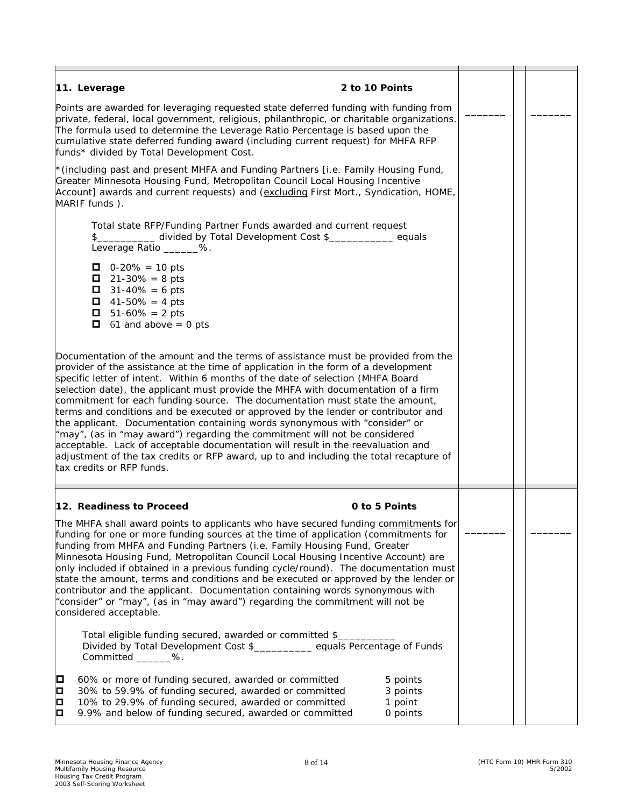| 11. Leverage                                                                                                                                                                                                                                                                                                                                                                                                                                                                                                                                                                                                                                                                                                           | 2 to 10 Points                                                                                                                                                                                                                                                                                                                                                                                                                                                                                                                                                                                                                                                                                                                                                                                                                                                  |                                             |  |  |
|------------------------------------------------------------------------------------------------------------------------------------------------------------------------------------------------------------------------------------------------------------------------------------------------------------------------------------------------------------------------------------------------------------------------------------------------------------------------------------------------------------------------------------------------------------------------------------------------------------------------------------------------------------------------------------------------------------------------|-----------------------------------------------------------------------------------------------------------------------------------------------------------------------------------------------------------------------------------------------------------------------------------------------------------------------------------------------------------------------------------------------------------------------------------------------------------------------------------------------------------------------------------------------------------------------------------------------------------------------------------------------------------------------------------------------------------------------------------------------------------------------------------------------------------------------------------------------------------------|---------------------------------------------|--|--|
| Points are awarded for leveraging requested state deferred funding with funding from<br>private, federal, local government, religious, philanthropic, or charitable organizations.<br>The formula used to determine the Leverage Ratio Percentage is based upon the<br>cumulative state deferred funding award (including current request) for MHFA RFP<br>funds* divided by Total Development Cost.                                                                                                                                                                                                                                                                                                                   |                                                                                                                                                                                                                                                                                                                                                                                                                                                                                                                                                                                                                                                                                                                                                                                                                                                                 |                                             |  |  |
| MARIF funds).                                                                                                                                                                                                                                                                                                                                                                                                                                                                                                                                                                                                                                                                                                          | * (including past and present MHFA and Funding Partners [i.e. Family Housing Fund,<br>Greater Minnesota Housing Fund, Metropolitan Council Local Housing Incentive<br>Account] awards and current requests) and (excluding First Mort., Syndication, HOME,                                                                                                                                                                                                                                                                                                                                                                                                                                                                                                                                                                                                      |                                             |  |  |
| \$<br>Leverage Ratio _______%.                                                                                                                                                                                                                                                                                                                                                                                                                                                                                                                                                                                                                                                                                         | Total state RFP/Funding Partner Funds awarded and current request<br>divided by Total Development Cost \$___________ equals                                                                                                                                                                                                                                                                                                                                                                                                                                                                                                                                                                                                                                                                                                                                     |                                             |  |  |
| $\Box$ 0-20% = 10 pts<br>$21 - 30\% = 8 \text{ pts}$<br>$31 - 40\% = 6$ pts<br>$41 - 50\% = 4 \text{ pts}$<br>$\blacksquare$ 51-60% = 2 pts<br>0.<br>61 and above $= 0$ pts                                                                                                                                                                                                                                                                                                                                                                                                                                                                                                                                            |                                                                                                                                                                                                                                                                                                                                                                                                                                                                                                                                                                                                                                                                                                                                                                                                                                                                 |                                             |  |  |
| tax credits or RFP funds.                                                                                                                                                                                                                                                                                                                                                                                                                                                                                                                                                                                                                                                                                              | Documentation of the amount and the terms of assistance must be provided from the<br>provider of the assistance at the time of application in the form of a development<br>specific letter of intent. Within 6 months of the date of selection (MHFA Board<br>selection date), the applicant must provide the MHFA with documentation of a firm<br>commitment for each funding source. The documentation must state the amount,<br>terms and conditions and be executed or approved by the lender or contributor and<br>the applicant. Documentation containing words synonymous with "consider" or<br>"may", (as in "may award") regarding the commitment will not be considered<br>acceptable. Lack of acceptable documentation will result in the reevaluation and<br>adjustment of the tax credits or RFP award, up to and including the total recapture of |                                             |  |  |
| 12. Readiness to Proceed                                                                                                                                                                                                                                                                                                                                                                                                                                                                                                                                                                                                                                                                                               | 0 to 5 Points                                                                                                                                                                                                                                                                                                                                                                                                                                                                                                                                                                                                                                                                                                                                                                                                                                                   |                                             |  |  |
| The MHFA shall award points to applicants who have secured funding commitments for<br>funding for one or more funding sources at the time of application (commitments for<br>funding from MHFA and Funding Partners (i.e. Family Housing Fund, Greater<br>Minnesota Housing Fund, Metropolitan Council Local Housing Incentive Account) are<br>only included if obtained in a previous funding cycle/round). The documentation must<br>state the amount, terms and conditions and be executed or approved by the lender or<br>contributor and the applicant. Documentation containing words synonymous with<br>"consider" or "may", (as in "may award") regarding the commitment will not be<br>considered acceptable. |                                                                                                                                                                                                                                                                                                                                                                                                                                                                                                                                                                                                                                                                                                                                                                                                                                                                 |                                             |  |  |
| Committed _______%.                                                                                                                                                                                                                                                                                                                                                                                                                                                                                                                                                                                                                                                                                                    | Total eligible funding secured, awarded or committed \$<br>Divided by Total Development Cost \$___________ equals Percentage of Funds                                                                                                                                                                                                                                                                                                                                                                                                                                                                                                                                                                                                                                                                                                                           |                                             |  |  |
| О<br>p<br>Þ<br>o                                                                                                                                                                                                                                                                                                                                                                                                                                                                                                                                                                                                                                                                                                       | 60% or more of funding secured, awarded or committed<br>30% to 59.9% of funding secured, awarded or committed<br>10% to 29.9% of funding secured, awarded or committed<br>9.9% and below of funding secured, awarded or committed                                                                                                                                                                                                                                                                                                                                                                                                                                                                                                                                                                                                                               | 5 points<br>3 points<br>1 point<br>0 points |  |  |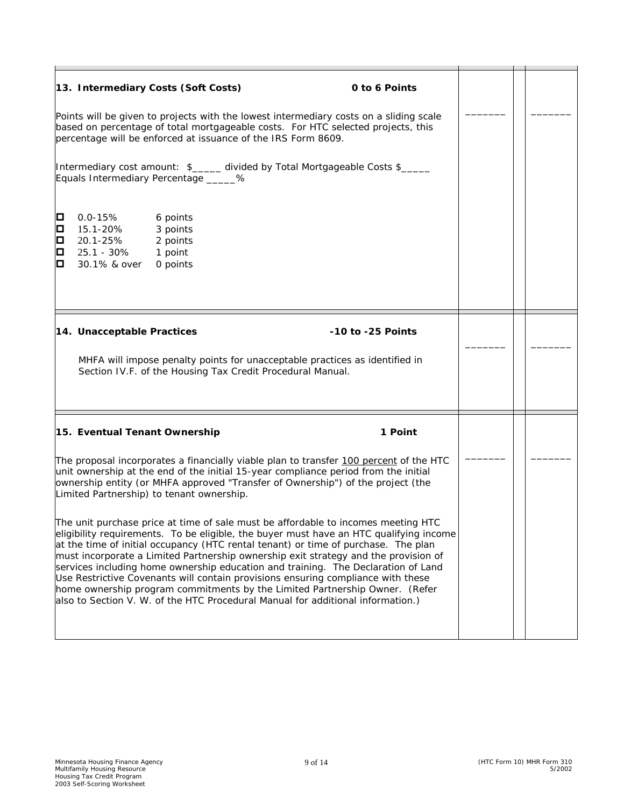|                       | 13. Intermediary Costs (Soft Costs)                                                                         | Points will be given to projects with the lowest intermediary costs on a sliding scale<br>based on percentage of total mortgageable costs. For HTC selected projects, this<br>percentage will be enforced at issuance of the IRS Form 8609.<br>Intermediary cost amount: \$_____ divided by Total Mortgageable Costs \$_____                                                                                                                                                                                                                                                                                                                                                                                                                                                                                                                                                                                                                                            | 0 to 6 Points     |  |  |
|-----------------------|-------------------------------------------------------------------------------------------------------------|-------------------------------------------------------------------------------------------------------------------------------------------------------------------------------------------------------------------------------------------------------------------------------------------------------------------------------------------------------------------------------------------------------------------------------------------------------------------------------------------------------------------------------------------------------------------------------------------------------------------------------------------------------------------------------------------------------------------------------------------------------------------------------------------------------------------------------------------------------------------------------------------------------------------------------------------------------------------------|-------------------|--|--|
| Д<br>О<br>О<br>О<br>О | Equals Intermediary Percentage ______%<br>$0.0 - 15%$<br>15.1-20%<br>20.1-25%<br>25.1 - 30%<br>30.1% & over | 6 points<br>3 points<br>2 points<br>1 point<br>0 points                                                                                                                                                                                                                                                                                                                                                                                                                                                                                                                                                                                                                                                                                                                                                                                                                                                                                                                 |                   |  |  |
|                       | 14. Unacceptable Practices                                                                                  | MHFA will impose penalty points for unacceptable practices as identified in<br>Section IV.F. of the Housing Tax Credit Procedural Manual.                                                                                                                                                                                                                                                                                                                                                                                                                                                                                                                                                                                                                                                                                                                                                                                                                               | -10 to -25 Points |  |  |
|                       | 15. Eventual Tenant Ownership<br>Limited Partnership) to tenant ownership.                                  | The proposal incorporates a financially viable plan to transfer 100 percent of the HTC<br>unit ownership at the end of the initial 15-year compliance period from the initial<br>ownership entity (or MHFA approved "Transfer of Ownership") of the project (the<br>The unit purchase price at time of sale must be affordable to incomes meeting HTC<br>eligibility requirements. To be eligible, the buyer must have an HTC qualifying income<br>at the time of initial occupancy (HTC rental tenant) or time of purchase. The plan<br>must incorporate a Limited Partnership ownership exit strategy and the provision of<br>services including home ownership education and training. The Declaration of Land<br>Use Restrictive Covenants will contain provisions ensuring compliance with these<br>home ownership program commitments by the Limited Partnership Owner. (Refer<br>also to Section V. W. of the HTC Procedural Manual for additional information.) | 1 Point           |  |  |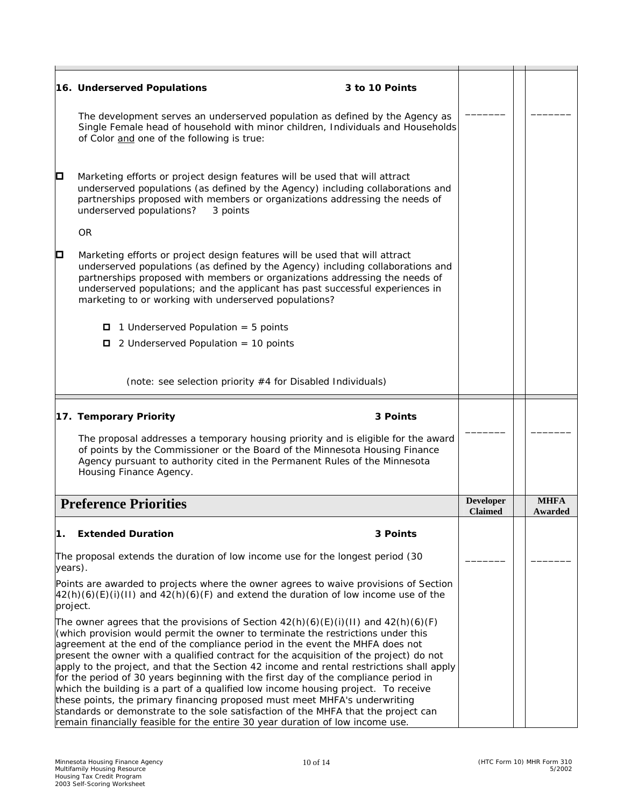|                                                                                                                                                                                                                                                                                                                                                                                                                                                                                                                                                                                                                                                                                                                                                                                                                                                                                                | 16. Underserved Populations                                                                                                                                                                                                                                                                                                                                                             | 3 to 10 Points |                                    |  |                        |
|------------------------------------------------------------------------------------------------------------------------------------------------------------------------------------------------------------------------------------------------------------------------------------------------------------------------------------------------------------------------------------------------------------------------------------------------------------------------------------------------------------------------------------------------------------------------------------------------------------------------------------------------------------------------------------------------------------------------------------------------------------------------------------------------------------------------------------------------------------------------------------------------|-----------------------------------------------------------------------------------------------------------------------------------------------------------------------------------------------------------------------------------------------------------------------------------------------------------------------------------------------------------------------------------------|----------------|------------------------------------|--|------------------------|
|                                                                                                                                                                                                                                                                                                                                                                                                                                                                                                                                                                                                                                                                                                                                                                                                                                                                                                | The development serves an underserved population as defined by the Agency as<br>Single Female head of household with minor children, Individuals and Households<br>of Color and one of the following is true:                                                                                                                                                                           |                |                                    |  |                        |
| О                                                                                                                                                                                                                                                                                                                                                                                                                                                                                                                                                                                                                                                                                                                                                                                                                                                                                              | Marketing efforts or project design features will be used that will attract<br>underserved populations (as defined by the Agency) including collaborations and<br>partnerships proposed with members or organizations addressing the needs of<br>underserved populations?<br>3 points                                                                                                   |                |                                    |  |                        |
|                                                                                                                                                                                                                                                                                                                                                                                                                                                                                                                                                                                                                                                                                                                                                                                                                                                                                                | <b>OR</b>                                                                                                                                                                                                                                                                                                                                                                               |                |                                    |  |                        |
| O                                                                                                                                                                                                                                                                                                                                                                                                                                                                                                                                                                                                                                                                                                                                                                                                                                                                                              | Marketing efforts or project design features will be used that will attract<br>underserved populations (as defined by the Agency) including collaborations and<br>partnerships proposed with members or organizations addressing the needs of<br>underserved populations; and the applicant has past successful experiences in<br>marketing to or working with underserved populations? |                |                                    |  |                        |
|                                                                                                                                                                                                                                                                                                                                                                                                                                                                                                                                                                                                                                                                                                                                                                                                                                                                                                | $\Box$ 1 Underserved Population = 5 points                                                                                                                                                                                                                                                                                                                                              |                |                                    |  |                        |
|                                                                                                                                                                                                                                                                                                                                                                                                                                                                                                                                                                                                                                                                                                                                                                                                                                                                                                | $\Box$ 2 Underserved Population = 10 points                                                                                                                                                                                                                                                                                                                                             |                |                                    |  |                        |
|                                                                                                                                                                                                                                                                                                                                                                                                                                                                                                                                                                                                                                                                                                                                                                                                                                                                                                |                                                                                                                                                                                                                                                                                                                                                                                         |                |                                    |  |                        |
|                                                                                                                                                                                                                                                                                                                                                                                                                                                                                                                                                                                                                                                                                                                                                                                                                                                                                                | (note: see selection priority #4 for Disabled Individuals)                                                                                                                                                                                                                                                                                                                              |                |                                    |  |                        |
|                                                                                                                                                                                                                                                                                                                                                                                                                                                                                                                                                                                                                                                                                                                                                                                                                                                                                                | 17. Temporary Priority                                                                                                                                                                                                                                                                                                                                                                  | 3 Points       |                                    |  |                        |
|                                                                                                                                                                                                                                                                                                                                                                                                                                                                                                                                                                                                                                                                                                                                                                                                                                                                                                | The proposal addresses a temporary housing priority and is eligible for the award<br>of points by the Commissioner or the Board of the Minnesota Housing Finance<br>Agency pursuant to authority cited in the Permanent Rules of the Minnesota<br>Housing Finance Agency.                                                                                                               |                |                                    |  |                        |
|                                                                                                                                                                                                                                                                                                                                                                                                                                                                                                                                                                                                                                                                                                                                                                                                                                                                                                | <b>Preference Priorities</b>                                                                                                                                                                                                                                                                                                                                                            |                | <b>Developer</b><br><b>Claimed</b> |  | <b>MHFA</b><br>Awarded |
| 1.                                                                                                                                                                                                                                                                                                                                                                                                                                                                                                                                                                                                                                                                                                                                                                                                                                                                                             | <b>Extended Duration</b>                                                                                                                                                                                                                                                                                                                                                                | 3 Points       |                                    |  |                        |
| years).                                                                                                                                                                                                                                                                                                                                                                                                                                                                                                                                                                                                                                                                                                                                                                                                                                                                                        | The proposal extends the duration of low income use for the longest period (30                                                                                                                                                                                                                                                                                                          |                |                                    |  |                        |
|                                                                                                                                                                                                                                                                                                                                                                                                                                                                                                                                                                                                                                                                                                                                                                                                                                                                                                | Points are awarded to projects where the owner agrees to waive provisions of Section<br>$\frac{42(h)(6)(E)(i)(H)}{2}$ and $\frac{42(h)(6)(F)}{2}$ and extend the duration of low income use of the                                                                                                                                                                                      |                |                                    |  |                        |
| project.<br>The owner agrees that the provisions of Section $42(h)(6)(E)(i)(H)$ and $42(h)(6)(F)$<br>(which provision would permit the owner to terminate the restrictions under this<br>agreement at the end of the compliance period in the event the MHFA does not<br>present the owner with a qualified contract for the acquisition of the project) do not<br>apply to the project, and that the Section 42 income and rental restrictions shall apply<br>for the period of 30 years beginning with the first day of the compliance period in<br>which the building is a part of a qualified low income housing project. To receive<br>these points, the primary financing proposed must meet MHFA's underwriting<br>standards or demonstrate to the sole satisfaction of the MHFA that the project can<br>remain financially feasible for the entire 30 year duration of low income use. |                                                                                                                                                                                                                                                                                                                                                                                         |                |                                    |  |                        |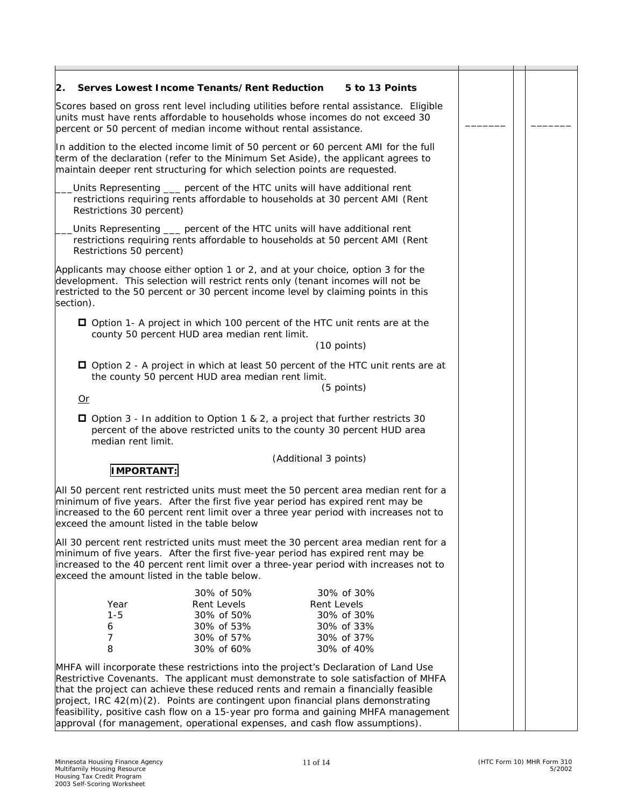| Serves Lowest Income Tenants/Rent Reduction<br>2.                                                                                                                                                                                                                                                                                                                                                                                                                                                                       |                                                                                                                                                                                                                                               | 5 to 13 Points                                                                                 |  |  |  |
|-------------------------------------------------------------------------------------------------------------------------------------------------------------------------------------------------------------------------------------------------------------------------------------------------------------------------------------------------------------------------------------------------------------------------------------------------------------------------------------------------------------------------|-----------------------------------------------------------------------------------------------------------------------------------------------------------------------------------------------------------------------------------------------|------------------------------------------------------------------------------------------------|--|--|--|
|                                                                                                                                                                                                                                                                                                                                                                                                                                                                                                                         | Scores based on gross rent level including utilities before rental assistance. Eligible<br>units must have rents affordable to households whose incomes do not exceed 30<br>percent or 50 percent of median income without rental assistance. |                                                                                                |  |  |  |
| In addition to the elected income limit of 50 percent or 60 percent AMI for the full<br>term of the declaration (refer to the Minimum Set Aside), the applicant agrees to<br>maintain deeper rent structuring for which selection points are requested.                                                                                                                                                                                                                                                                 |                                                                                                                                                                                                                                               |                                                                                                |  |  |  |
| Units Representing ___ percent of the HTC units will have additional rent<br>restrictions requiring rents affordable to households at 30 percent AMI (Rent<br>Restrictions 30 percent)                                                                                                                                                                                                                                                                                                                                  |                                                                                                                                                                                                                                               |                                                                                                |  |  |  |
| Units Representing ___ percent of the HTC units will have additional rent<br>restrictions requiring rents affordable to households at 50 percent AMI (Rent<br>Restrictions 50 percent)                                                                                                                                                                                                                                                                                                                                  |                                                                                                                                                                                                                                               |                                                                                                |  |  |  |
| Applicants may choose either option 1 or 2, and at your choice, option 3 for the<br>development. This selection will restrict rents only (tenant incomes will not be<br>restricted to the 50 percent or 30 percent income level by claiming points in this<br>section).                                                                                                                                                                                                                                                 |                                                                                                                                                                                                                                               |                                                                                                |  |  |  |
| □ Option 1- A project in which 100 percent of the HTC unit rents are at the                                                                                                                                                                                                                                                                                                                                                                                                                                             | county 50 percent HUD area median rent limit.                                                                                                                                                                                                 | (10 points)                                                                                    |  |  |  |
| $Or$                                                                                                                                                                                                                                                                                                                                                                                                                                                                                                                    | the county 50 percent HUD area median rent limit.                                                                                                                                                                                             | □ Option 2 - A project in which at least 50 percent of the HTC unit rents are at<br>(5 points) |  |  |  |
| □ Option 3 - In addition to Option 1 & 2, a project that further restricts 30<br>median rent limit.                                                                                                                                                                                                                                                                                                                                                                                                                     |                                                                                                                                                                                                                                               | percent of the above restricted units to the county 30 percent HUD area                        |  |  |  |
|                                                                                                                                                                                                                                                                                                                                                                                                                                                                                                                         |                                                                                                                                                                                                                                               | (Additional 3 points)                                                                          |  |  |  |
| <b>IMPORTANT:</b>                                                                                                                                                                                                                                                                                                                                                                                                                                                                                                       |                                                                                                                                                                                                                                               |                                                                                                |  |  |  |
| All 50 percent rent restricted units must meet the 50 percent area median rent for a<br>minimum of five years. After the first five year period has expired rent may be<br>increased to the 60 percent rent limit over a three year period with increases not to<br>exceed the amount listed in the table below                                                                                                                                                                                                         |                                                                                                                                                                                                                                               |                                                                                                |  |  |  |
| All 30 percent rent restricted units must meet the 30 percent area median rent for a<br>minimum of five years. After the first five-year period has expired rent may be<br>increased to the 40 percent rent limit over a three-year period with increases not to<br>exceed the amount listed in the table below.                                                                                                                                                                                                        |                                                                                                                                                                                                                                               |                                                                                                |  |  |  |
| Year<br>$1 - 5$<br>6<br>7<br>8                                                                                                                                                                                                                                                                                                                                                                                                                                                                                          | 30% of 50%<br>Rent Levels<br>30% of 50%<br>30% of 53%<br>30% of 57%<br>30% of 60%                                                                                                                                                             | 30% of 30%<br>Rent Levels<br>30% of 30%<br>30% of 33%<br>30% of 37%<br>30% of 40%              |  |  |  |
| MHFA will incorporate these restrictions into the project's Declaration of Land Use<br>Restrictive Covenants. The applicant must demonstrate to sole satisfaction of MHFA<br>that the project can achieve these reduced rents and remain a financially feasible<br>project, IRC 42(m)(2). Points are contingent upon financial plans demonstrating<br>feasibility, positive cash flow on a 15-year pro forma and gaining MHFA management<br>approval (for management, operational expenses, and cash flow assumptions). |                                                                                                                                                                                                                                               |                                                                                                |  |  |  |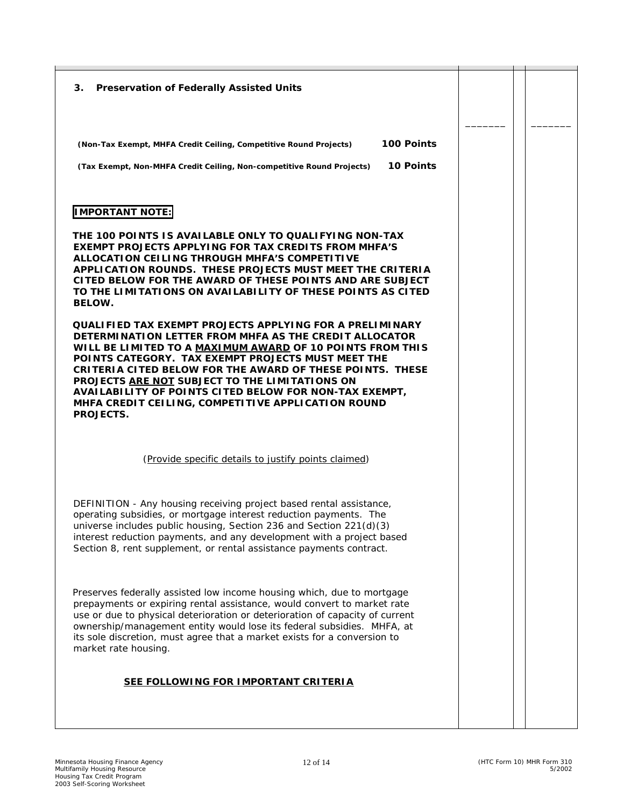**3. Preservation of Federally Assisted Units (Non-Tax Exempt, MHFA Credit Ceiling, Competitive Round Projects) 100 Points (Tax Exempt, Non-MHFA Credit Ceiling, Non-competitive Round Projects) 10 Points IMPORTANT NOTE: THE 100 POINTS IS AVAILABLE ONLY TO QUALIFYING NON-TAX EXEMPT PROJECTS APPLYING FOR TAX CREDITS FROM MHFA'S ALLOCATION CEILING THROUGH MHFA'S COMPETITIVE APPLICATION ROUNDS. THESE PROJECTS MUST MEET THE CRITERIA CITED BELOW FOR THE AWARD OF THESE POINTS AND ARE SUBJECT TO THE LIMITATIONS ON AVAILABILITY OF THESE POINTS AS CITED BELOW. QUALIFIED TAX EXEMPT PROJECTS APPLYING FOR A PRELIMINARY DETERMINATION LETTER FROM MHFA AS THE CREDIT ALLOCATOR WILL BE LIMITED TO A MAXIMUM AWARD OF 10 POINTS FROM THIS POINTS CATEGORY. TAX EXEMPT PROJECTS MUST MEET THE CRITERIA CITED BELOW FOR THE AWARD OF THESE POINTS. THESE PROJECTS ARE NOT SUBJECT TO THE LIMITATIONS ON AVAILABILITY OF POINTS CITED BELOW FOR NON-TAX EXEMPT, MHFA CREDIT CEILING, COMPETITIVE APPLICATION ROUND PROJECTS.**  (Provide specific details to justify points claimed) DEFINITION - Any housing receiving project based rental assistance, operating subsidies, or mortgage interest reduction payments. The universe includes public housing, Section 236 and Section 221(d)(3) interest reduction payments, and any development with a project based Section 8, rent supplement, or rental assistance payments contract. Preserves federally assisted low income housing which, due to mortgage prepayments or expiring rental assistance, would convert to market rate use or due to physical deterioration or deterioration of capacity of current ownership/management entity would lose its federal subsidies. MHFA, at its sole discretion, must agree that a market exists for a conversion to market rate housing.  **SEE FOLLOWING FOR IMPORTANT CRITERIA** \_\_\_\_\_\_\_  $\overline{\phantom{a}}$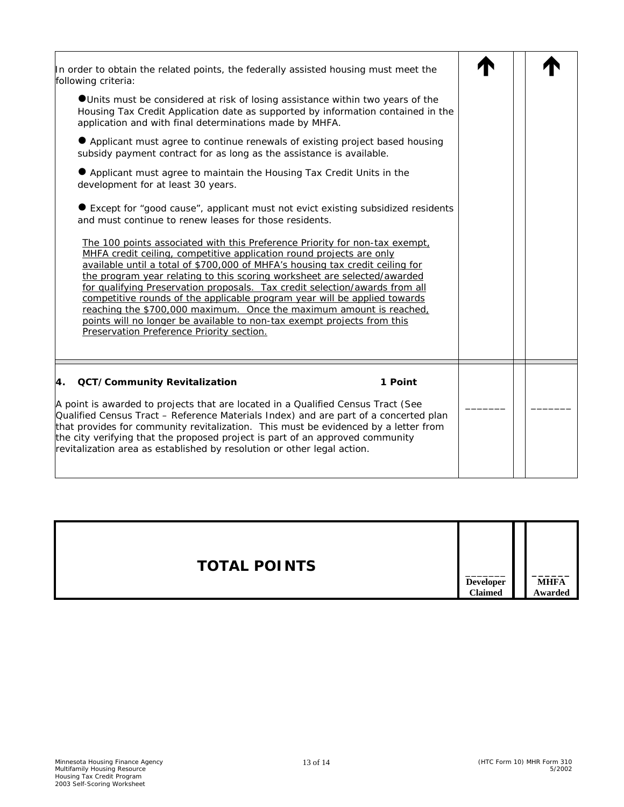| In order to obtain the related points, the federally assisted housing must meet the<br>following criteria:<br>OUnits must be considered at risk of losing assistance within two years of the<br>Housing Tax Credit Application date as supported by information contained in the<br>application and with final determinations made by MHFA.<br>• Applicant must agree to continue renewals of existing project based housing<br>subsidy payment contract for as long as the assistance is available.<br>● Applicant must agree to maintain the Housing Tax Credit Units in the<br>development for at least 30 years.<br>● Except for "good cause", applicant must not evict existing subsidized residents<br>and must continue to renew leases for those residents.<br>The 100 points associated with this Preference Priority for non-tax exempt,<br>MHFA credit ceiling, competitive application round projects are only<br>available until a total of \$700,000 of MHFA's housing tax credit ceiling for<br>the program year relating to this scoring worksheet are selected/awarded<br>for qualifying Preservation proposals. Tax credit selection/awards from all<br>competitive rounds of the applicable program year will be applied towards<br>reaching the \$700,000 maximum. Once the maximum amount is reached,<br>points will no longer be available to non-tax exempt projects from this<br>Preservation Preference Priority section. |  |
|----------------------------------------------------------------------------------------------------------------------------------------------------------------------------------------------------------------------------------------------------------------------------------------------------------------------------------------------------------------------------------------------------------------------------------------------------------------------------------------------------------------------------------------------------------------------------------------------------------------------------------------------------------------------------------------------------------------------------------------------------------------------------------------------------------------------------------------------------------------------------------------------------------------------------------------------------------------------------------------------------------------------------------------------------------------------------------------------------------------------------------------------------------------------------------------------------------------------------------------------------------------------------------------------------------------------------------------------------------------------------------------------------------------------------------------------------|--|
| <b>QCT/Community Revitalization</b><br>1 Point<br>4.<br>A point is awarded to projects that are located in a Qualified Census Tract (See<br>Qualified Census Tract - Reference Materials Index) and are part of a concerted plan<br>that provides for community revitalization. This must be evidenced by a letter from<br>the city verifying that the proposed project is part of an approved community<br>revitalization area as established by resolution or other legal action.                                                                                                                                                                                                                                                                                                                                                                                                                                                                                                                                                                                                                                                                                                                                                                                                                                                                                                                                                                |  |

| <b>TOTAL POINTS</b><br><b>Developer</b><br><b>Claimed</b> | <b>MHFA</b><br>Awarded |
|-----------------------------------------------------------|------------------------|
|-----------------------------------------------------------|------------------------|